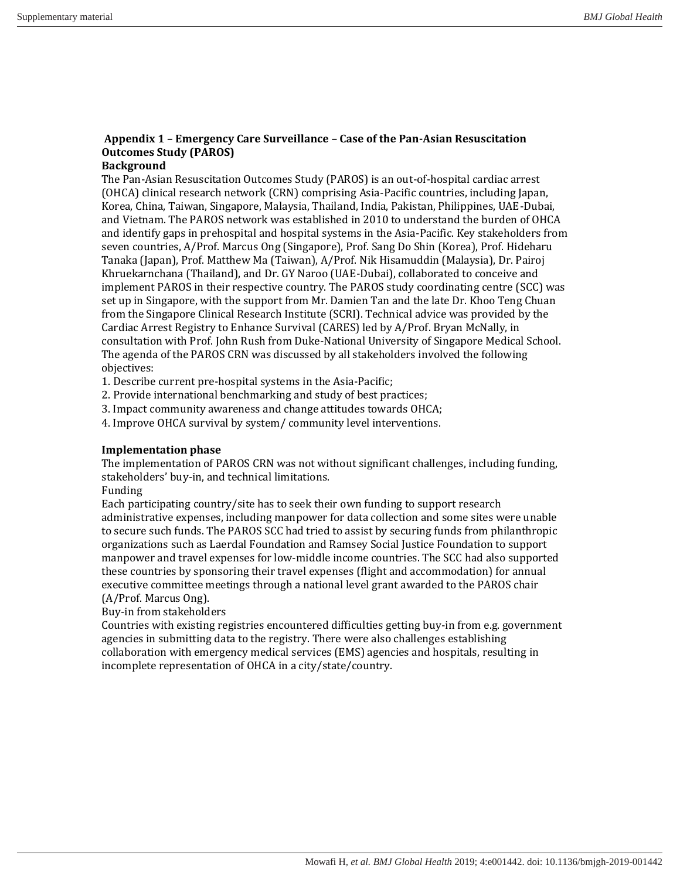# **Appendix 1 – Emergency Care Surveillance – Case of the Pan-Asian Resuscitation Outcomes Study (PAROS)**

## **Background**

The Pan-Asian Resuscitation Outcomes Study (PAROS) is an out-of-hospital cardiac arrest (OHCA) clinical research network (CRN) comprising Asia-Pacific countries, including Japan, Korea, China, Taiwan, Singapore, Malaysia, Thailand, India, Pakistan, Philippines, UAE-Dubai, and Vietnam. The PAROS network was established in 2010 to understand the burden of OHCA and identify gaps in prehospital and hospital systems in the Asia-Pacific. Key stakeholders from seven countries, A/Prof. Marcus Ong (Singapore), Prof. Sang Do Shin (Korea), Prof. Hideharu Tanaka (Japan), Prof. Matthew Ma (Taiwan), A/Prof. Nik Hisamuddin (Malaysia), Dr. Pairoj Khruekarnchana (Thailand), and Dr. GY Naroo (UAE-Dubai), collaborated to conceive and implement PAROS in their respective country. The PAROS study coordinating centre (SCC) was set up in Singapore, with the support from Mr. Damien Tan and the late Dr. Khoo Teng Chuan from the Singapore Clinical Research Institute (SCRI). Technical advice was provided by the Cardiac Arrest Registry to Enhance Survival (CARES) led by A/Prof. Bryan McNally, in consultation with Prof. John Rush from Duke-National University of Singapore Medical School. The agenda of the PAROS CRN was discussed by all stakeholders involved the following objectives:

1. Describe current pre-hospital systems in the Asia-Pacific;

2. Provide international benchmarking and study of best practices;

3. Impact community awareness and change attitudes towards OHCA;

4. Improve OHCA survival by system/ community level interventions.

## **Implementation phase**

The implementation of PAROS CRN was not without significant challenges, including funding, stakeholders' buy-in, and technical limitations.

#### Funding

Each participating country/site has to seek their own funding to support research administrative expenses, including manpower for data collection and some sites were unable to secure such funds. The PAROS SCC had tried to assist by securing funds from philanthropic organizations such as Laerdal Foundation and Ramsey Social Justice Foundation to support manpower and travel expenses for low-middle income countries. The SCC had also supported these countries by sponsoring their travel expenses (flight and accommodation) for annual executive committee meetings through a national level grant awarded to the PAROS chair (A/Prof. Marcus Ong).

Buy-in from stakeholders

Countries with existing registries encountered difficulties getting buy-in from e.g. government agencies in submitting data to the registry. There were also challenges establishing collaboration with emergency medical services (EMS) agencies and hospitals, resulting in incomplete representation of OHCA in a city/state/country.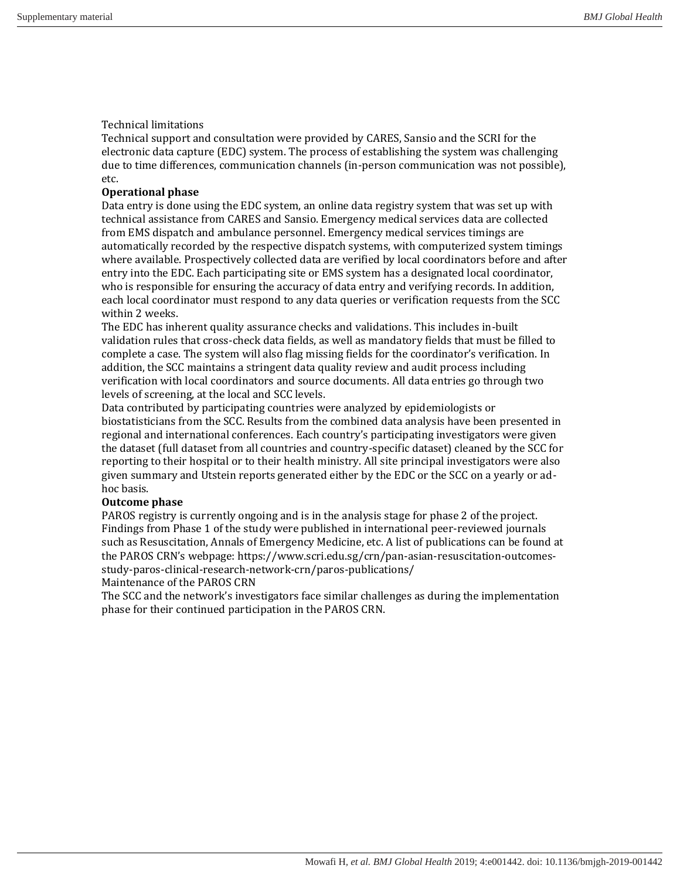#### Technical limitations

Technical support and consultation were provided by CARES, Sansio and the SCRI for the electronic data capture (EDC) system. The process of establishing the system was challenging due to time differences, communication channels (in-person communication was not possible), etc.

#### **Operational phase**

Data entry is done using the EDC system, an online data registry system that was set up with technical assistance from CARES and Sansio. Emergency medical services data are collected from EMS dispatch and ambulance personnel. Emergency medical services timings are automatically recorded by the respective dispatch systems, with computerized system timings where available. Prospectively collected data are verified by local coordinators before and after entry into the EDC. Each participating site or EMS system has a designated local coordinator, who is responsible for ensuring the accuracy of data entry and verifying records. In addition, each local coordinator must respond to any data queries or verification requests from the SCC within 2 weeks.

The EDC has inherent quality assurance checks and validations. This includes in-built validation rules that cross-check data fields, as well as mandatory fields that must be filled to complete a case. The system will also flag missing fields for the coordinator's verification. In addition, the SCC maintains a stringent data quality review and audit process including verification with local coordinators and source documents. All data entries go through two levels of screening, at the local and SCC levels.

Data contributed by participating countries were analyzed by epidemiologists or biostatisticians from the SCC. Results from the combined data analysis have been presented in regional and international conferences. Each country's participating investigators were given the dataset (full dataset from all countries and country-specific dataset) cleaned by the SCC for reporting to their hospital or to their health ministry. All site principal investigators were also given summary and Utstein reports generated either by the EDC or the SCC on a yearly or adhoc basis.

#### **Outcome phase**

PAROS registry is currently ongoing and is in the analysis stage for phase 2 of the project. Findings from Phase 1 of the study were published in international peer-reviewed journals such as Resuscitation, Annals of Emergency Medicine, etc. A list of publications can be found at the PAROS CRN's webpage: https://www.scri.edu.sg/crn/pan-asian-resuscitation-outcomesstudy-paros-clinical-research-network-crn/paros-publications/ Maintenance of the PAROS CRN

The SCC and the network's investigators face similar challenges as during the implementation phase for their continued participation in the PAROS CRN.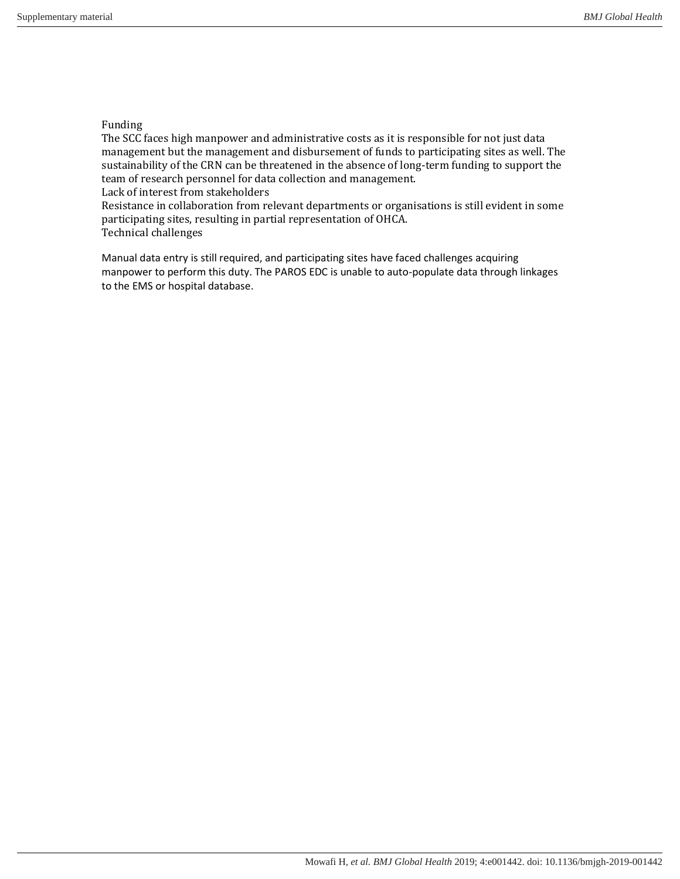### Funding

The SCC faces high manpower and administrative costs as it is responsible for not just data management but the management and disbursement of funds to participating sites as well. The sustainability of the CRN can be threatened in the absence of long-term funding to support the team of research personnel for data collection and management.

Lack of interest from stakeholders

Resistance in collaboration from relevant departments or organisations is still evident in some participating sites, resulting in partial representation of OHCA. Technical challenges

Manual data entry is still required, and participating sites have faced challenges acquiring manpower to perform this duty. The PAROS EDC is unable to auto-populate data through linkages to the EMS or hospital database.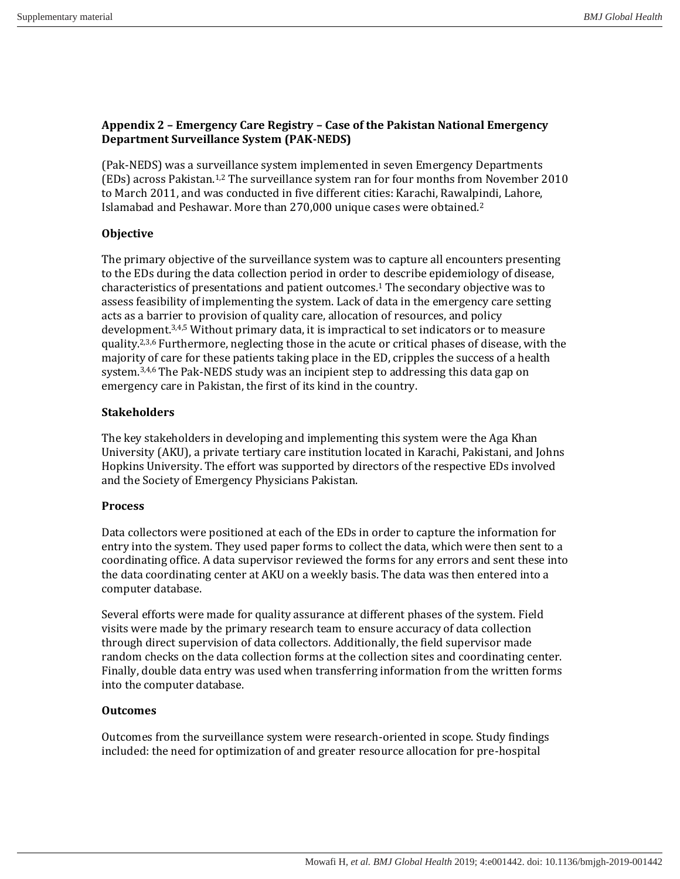# **Appendix 2 – Emergency Care Registry – Case of the Pakistan National Emergency Department Surveillance System (PAK-NEDS)**

(Pak-NEDS) was a surveillance system implemented in seven Emergency Departments (EDs) across Pakistan.1,2 The surveillance system ran for four months from November 2010 to March 2011, and was conducted in five different cities: Karachi, Rawalpindi, Lahore, Islamabad and Peshawar. More than 270,000 unique cases were obtained.<sup>2</sup>

# **Objective**

The primary objective of the surveillance system was to capture all encounters presenting to the EDs during the data collection period in order to describe epidemiology of disease, characteristics of presentations and patient outcomes.<sup>1</sup> The secondary objective was to assess feasibility of implementing the system. Lack of data in the emergency care setting acts as a barrier to provision of quality care, allocation of resources, and policy development.<sup>3,4,5</sup> Without primary data, it is impractical to set indicators or to measure quality.<sup>2,3,6</sup> Furthermore, neglecting those in the acute or critical phases of disease, with the majority of care for these patients taking place in the ED, cripples the success of a health system. $3,4,6$  The Pak-NEDS study was an incipient step to addressing this data gap on emergency care in Pakistan, the first of its kind in the country.

## **Stakeholders**

The key stakeholders in developing and implementing this system were the Aga Khan University (AKU), a private tertiary care institution located in Karachi, Pakistani, and Johns Hopkins University. The effort was supported by directors of the respective EDs involved and the Society of Emergency Physicians Pakistan.

## **Process**

Data collectors were positioned at each of the EDs in order to capture the information for entry into the system. They used paper forms to collect the data, which were then sent to a coordinating office. A data supervisor reviewed the forms for any errors and sent these into the data coordinating center at AKU on a weekly basis. The data was then entered into a computer database.

Several efforts were made for quality assurance at different phases of the system. Field visits were made by the primary research team to ensure accuracy of data collection through direct supervision of data collectors. Additionally, the field supervisor made random checks on the data collection forms at the collection sites and coordinating center. Finally, double data entry was used when transferring information from the written forms into the computer database.

# **Outcomes**

Outcomes from the surveillance system were research-oriented in scope. Study findings included: the need for optimization of and greater resource allocation for pre-hospital